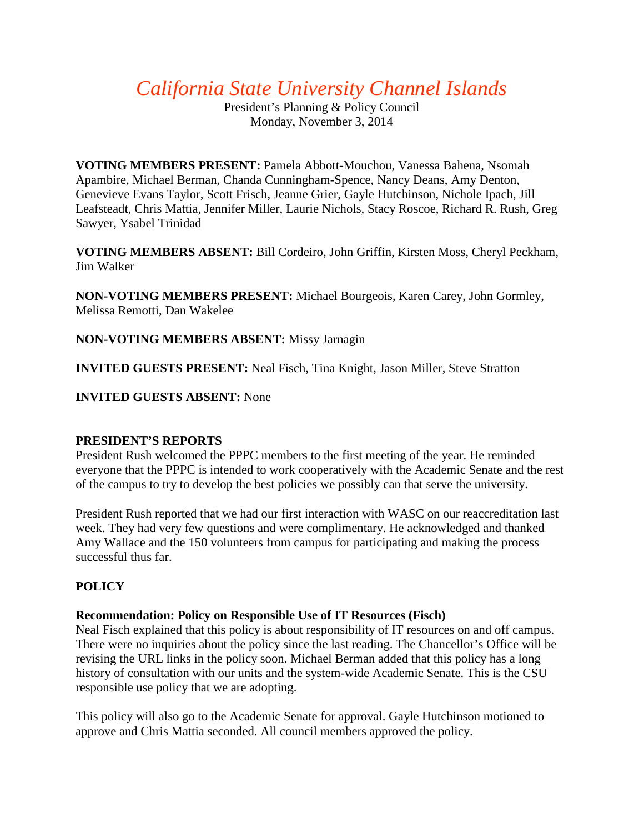*California State University Channel Islands*

President's Planning & Policy Council Monday, November 3, 2014

**VOTING MEMBERS PRESENT:** Pamela Abbott-Mouchou, Vanessa Bahena, Nsomah Apambire, Michael Berman, Chanda Cunningham-Spence, Nancy Deans, Amy Denton, Genevieve Evans Taylor, Scott Frisch, Jeanne Grier, Gayle Hutchinson, Nichole Ipach, Jill Leafsteadt, Chris Mattia, Jennifer Miller, Laurie Nichols, Stacy Roscoe, Richard R. Rush, Greg Sawyer, Ysabel Trinidad

**VOTING MEMBERS ABSENT:** Bill Cordeiro, John Griffin, Kirsten Moss, Cheryl Peckham, Jim Walker

**NON-VOTING MEMBERS PRESENT:** Michael Bourgeois, Karen Carey, John Gormley, Melissa Remotti, Dan Wakelee

**NON-VOTING MEMBERS ABSENT:** Missy Jarnagin

**INVITED GUESTS PRESENT:** Neal Fisch, Tina Knight, Jason Miller, Steve Stratton

## **INVITED GUESTS ABSENT:** None

## **PRESIDENT'S REPORTS**

President Rush welcomed the PPPC members to the first meeting of the year. He reminded everyone that the PPPC is intended to work cooperatively with the Academic Senate and the rest of the campus to try to develop the best policies we possibly can that serve the university.

President Rush reported that we had our first interaction with WASC on our reaccreditation last week. They had very few questions and were complimentary. He acknowledged and thanked Amy Wallace and the 150 volunteers from campus for participating and making the process successful thus far.

# **POLICY**

## **Recommendation: Policy on Responsible Use of IT Resources (Fisch)**

Neal Fisch explained that this policy is about responsibility of IT resources on and off campus. There were no inquiries about the policy since the last reading. The Chancellor's Office will be revising the URL links in the policy soon. Michael Berman added that this policy has a long history of consultation with our units and the system-wide Academic Senate. This is the CSU responsible use policy that we are adopting.

This policy will also go to the Academic Senate for approval. Gayle Hutchinson motioned to approve and Chris Mattia seconded. All council members approved the policy.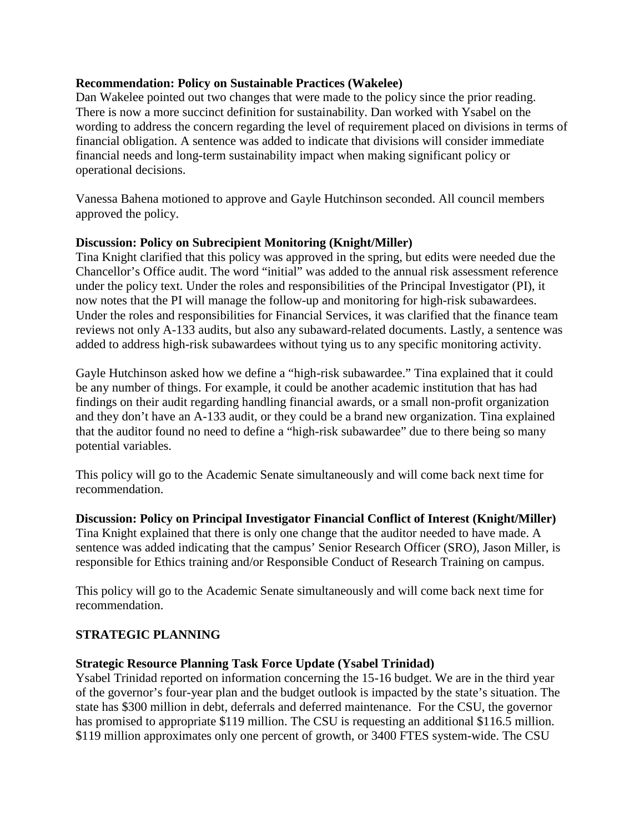#### **Recommendation: Policy on Sustainable Practices (Wakelee)**

Dan Wakelee pointed out two changes that were made to the policy since the prior reading. There is now a more succinct definition for sustainability. Dan worked with Ysabel on the wording to address the concern regarding the level of requirement placed on divisions in terms of financial obligation. A sentence was added to indicate that divisions will consider immediate financial needs and long-term sustainability impact when making significant policy or operational decisions.

Vanessa Bahena motioned to approve and Gayle Hutchinson seconded. All council members approved the policy.

### **Discussion: Policy on Subrecipient Monitoring (Knight/Miller)**

Tina Knight clarified that this policy was approved in the spring, but edits were needed due the Chancellor's Office audit. The word "initial" was added to the annual risk assessment reference under the policy text. Under the roles and responsibilities of the Principal Investigator (PI), it now notes that the PI will manage the follow-up and monitoring for high-risk subawardees. Under the roles and responsibilities for Financial Services, it was clarified that the finance team reviews not only A-133 audits, but also any subaward-related documents. Lastly, a sentence was added to address high-risk subawardees without tying us to any specific monitoring activity.

Gayle Hutchinson asked how we define a "high-risk subawardee." Tina explained that it could be any number of things. For example, it could be another academic institution that has had findings on their audit regarding handling financial awards, or a small non-profit organization and they don't have an A-133 audit, or they could be a brand new organization. Tina explained that the auditor found no need to define a "high-risk subawardee" due to there being so many potential variables.

This policy will go to the Academic Senate simultaneously and will come back next time for recommendation.

**Discussion: Policy on Principal Investigator Financial Conflict of Interest (Knight/Miller)** Tina Knight explained that there is only one change that the auditor needed to have made. A sentence was added indicating that the campus' Senior Research Officer (SRO), Jason Miller, is responsible for Ethics training and/or Responsible Conduct of Research Training on campus.

This policy will go to the Academic Senate simultaneously and will come back next time for recommendation.

## **STRATEGIC PLANNING**

## **Strategic Resource Planning Task Force Update (Ysabel Trinidad)**

Ysabel Trinidad reported on information concerning the 15-16 budget. We are in the third year of the governor's four-year plan and the budget outlook is impacted by the state's situation. The state has \$300 million in debt, deferrals and deferred maintenance. For the CSU, the governor has promised to appropriate \$119 million. The CSU is requesting an additional \$116.5 million. \$119 million approximates only one percent of growth, or 3400 FTES system-wide. The CSU